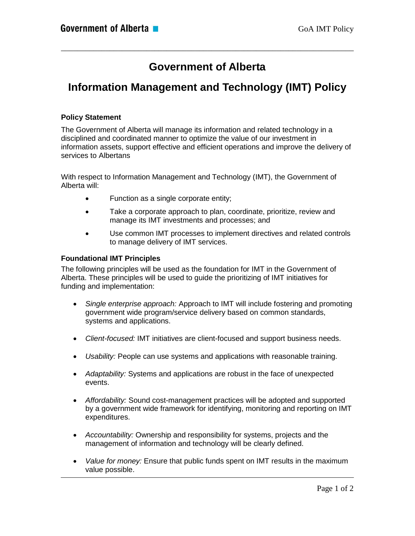# **Government of Alberta**

\_\_\_\_\_\_\_\_\_\_\_\_\_\_\_\_\_\_\_\_\_\_\_\_\_\_\_\_\_\_\_\_\_\_\_\_\_\_\_\_\_\_\_\_\_\_\_\_\_\_\_\_\_\_\_\_\_\_\_\_\_\_\_\_\_\_\_\_\_\_\_\_

# **Information Management and Technology (IMT) Policy**

## **Policy Statement**

The Government of Alberta will manage its information and related technology in a disciplined and coordinated manner to optimize the value of our investment in information assets, support effective and efficient operations and improve the delivery of services to Albertans

With respect to Information Management and Technology (IMT), the Government of Alberta will:

- Function as a single corporate entity;
- Take a corporate approach to plan, coordinate, prioritize, review and manage its IMT investments and processes; and
- Use common IMT processes to implement directives and related controls to manage delivery of IMT services.

## **Foundational IMT Principles**

The following principles will be used as the foundation for IMT in the Government of Alberta. These principles will be used to guide the prioritizing of IMT initiatives for funding and implementation:

- *Single enterprise approach:* Approach to IMT will include fostering and promoting government wide program/service delivery based on common standards, systems and applications.
- *Client-focused:* IMT initiatives are client-focused and support business needs.
- *Usability:* People can use systems and applications with reasonable training.
- *Adaptability:* Systems and applications are robust in the face of unexpected events.
- *Affordability:* Sound cost-management practices will be adopted and supported by a government wide framework for identifying, monitoring and reporting on IMT expenditures.
- *Accountability:* Ownership and responsibility for systems, projects and the management of information and technology will be clearly defined.
- *Value for money:* Ensure that public funds spent on IMT results in the maximum value possible.